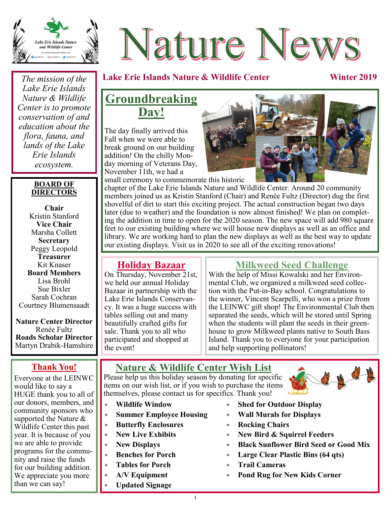

# Nature News

## **Lake Erie Islands Nature & Wildlife Center Winter 2019**

*The mission of the Lake Erie Islands Nature & Wildlife Center is to promote conservation of and education about the flora, fauna, and lands of the Lake Erie Islands ecosystem.*

#### **BOARD OF DIRECTORS**

**Chair**  Kristin Stanford **Vice Chair** Marsha Collett **Secretary** Peggy Leopold **Treasurer** Kit Knaser **Board Members** Lisa Brohl Sue Bixler Sarah Cochran Courtney Blumensaadt

**Nature Center Director** Renée Fultz **Roads Scholar Director** Martyn Drabik-Hamshire

## **Thank You!**

Everyone at the LEINWC would like to say a HUGE thank you to all of our donors, members, and community sponsors who supported the Nature & Wildlife Center this past year. It is because of you we are able to provide programs for the community and raise the funds for our building addition. We appreciate you more than we can say!

## **Groundbreaking Day!**

The day finally arrived this Fall when we were able to break ground on our building addition! On the chilly Monday morning of Veterans Day, November 11th, we had a



chapter of the Lake Erie Islands Nature and Wildlife Center. Around 20 community members joined us as Kristin Stanford (Chair) and Renée Fultz (Director) dug the first shovelful of dirt to start this exciting project. The actual construction began two days later (due to weather) and the foundation is now almost finished! We plan on completing the addition in time to open for the 2020 season. The new space will add 980 square feet to our existing building where we will house new displays as well as an office and library. We are working hard to plan the new displays as well as the best way to update our existing displays. Visit us in 2020 to see all of the exciting renovations!

### **Holiday Bazaar**

On Thursday, November 21st, we held our annual Holiday Bazaar in partnership with the Lake Erie Islands Conservancy. It was a huge success with tables selling out and many beautifully crafted gifts for sale. Thank you to all who participated and shopped at the event!

## **Milkweed Seed Challenge**

With the help of Missi Kowalski and her Environmental Club, we organized a milkweed seed collection with the Put-in-Bay school. Congratulations to the winner, Vincent Scarpelli, who won a prize from the LEINWC gift shop! The Environmental Club then separated the seeds, which will be stored until Spring when the students will plant the seeds in their greenhouse to grow Milkweed plants native to South Bass Island. Thank you to everyone for your participation and help supporting pollinators!

## **Nature & Wildlife Center Wish List**

Please help us this holiday season by donating for specific items on our wish list, or if you wish to purchase the items themselves, please contact us for specifics. Thank you!

- **Wildlife Window**
- **Summer Employee Housing**
- **Butterfly Enclosures**
- **New Live Exhibits**
- **New Displays**
- **Benches for Porch**
- **Tables for Porch**
- **A/V Equipment**

**Updated Signage**

- **Shed for Outdoor Display**
- **Wall Murals for Displays**
- **Rocking Chairs**
- **New Bird & Squirrel Feeders**
- **Black Sunflower Bird Seed or Good Mix**
- **Large Clear Plastic Bins (64 qts)**
- **Trail Cameras**
- **Pond Rug for New Kids Corner**